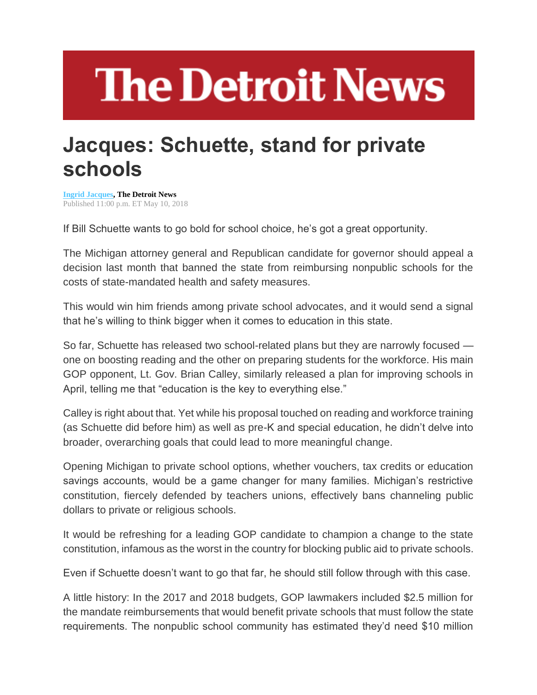## **The Detroit News**

## **Jacques: Schuette, stand for private schools**

**[Ingrid Jacques,](http://www.detroitnews.com/staff/26553/ingrid-jacques/) The Detroit News** Published 11:00 p.m. ET May 10, 2018

If Bill Schuette wants to go bold for school choice, he's got a great opportunity.

The Michigan attorney general and Republican candidate for governor should appeal a decision last month that banned the state from reimbursing nonpublic schools for the costs of state-mandated health and safety measures.

This would win him friends among private school advocates, and it would send a signal that he's willing to think bigger when it comes to education in this state.

So far, Schuette has released two school-related plans but they are narrowly focused one on boosting reading and the other on preparing students for the workforce. His main GOP opponent, Lt. Gov. Brian Calley, similarly released a plan for improving schools in April, telling me that "education is the key to everything else."

Calley is right about that. Yet while his proposal touched on reading and workforce training (as Schuette did before him) as well as pre-K and special education, he didn't delve into broader, overarching goals that could lead to more meaningful change.

Opening Michigan to private school options, whether vouchers, tax credits or education savings accounts, would be a game changer for many families. Michigan's restrictive constitution, fiercely defended by teachers unions, effectively bans channeling public dollars to private or religious schools.

It would be refreshing for a leading GOP candidate to champion a change to the state constitution, infamous as the worst in the country for blocking public aid to private schools.

Even if Schuette doesn't want to go that far, he should still follow through with this case.

A little history: In the 2017 and 2018 budgets, GOP lawmakers included \$2.5 million for the mandate reimbursements that would benefit private schools that must follow the state requirements. The nonpublic school community has estimated they'd need \$10 million